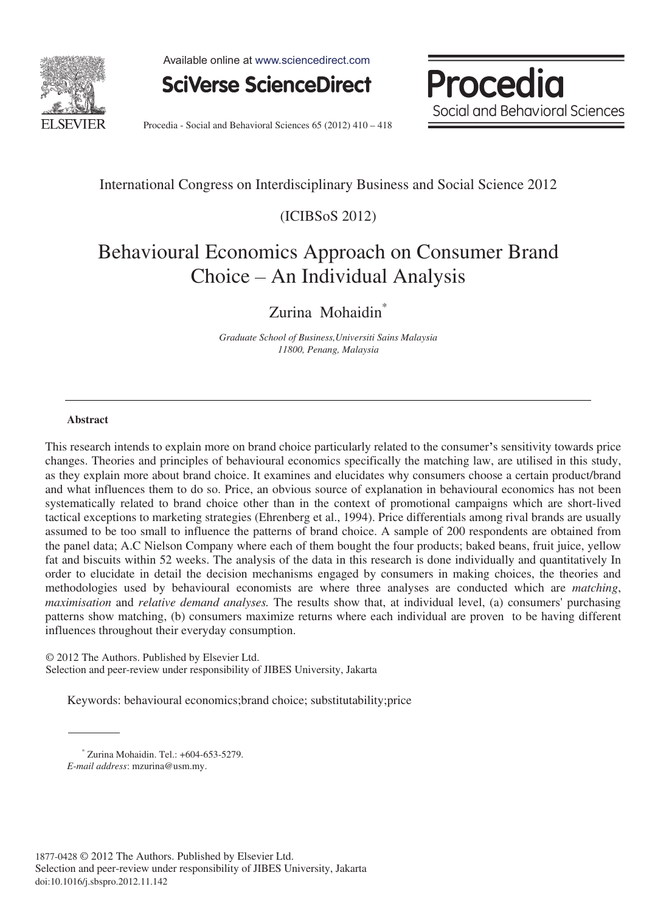

Available online at www.sciencedirect.com

**SciVerse ScienceDirect** 

Procedia Social and Behavioral Sciences

Procedia - Social and Behavioral Sciences 65 (2012) 410 - 418

## International Congress on Interdisciplinary Business and Social Science 2012

(ICIBSoS 2012)

# Behavioural Economics Approach on Consumer Brand Choice An Individual Analysis

Zurina Mohaidin\*

*Graduate School of Business,Universiti Sains Malaysia 11800, Penang, Malaysia*

#### **Abstract**

This research intends to explain more on brand choice particularly related to the consumer's sensitivity towards price changes. Theories and principles of behavioural economics specifically the matching law, are utilised in this study, as they explain more about brand choice. It examines and elucidates why consumers choose a certain product/brand and what influences them to do so. Price, an obvious source of explanation in behavioural economics has not been systematically related to brand choice other than in the context of promotional campaigns which are short-lived tactical exceptions to marketing strategies (Ehrenberg et al., 1994). Price differentials among rival brands are usually assumed to be too small to influence the patterns of brand choice. A sample of 200 respondents are obtained from the panel data; A.C Nielson Company where each of them bought the four products; baked beans, fruit juice, yellow fat and biscuits within 52 weeks. The analysis of the data in this research is done individually and quantitatively In order to elucidate in detail the decision mechanisms engaged by consumers in making choices, the theories and methodologies used by behavioural economists are where three analyses are conducted which are *matching*, *maximisation* and *relative demand analyses.* The results show that, at individual level, (a) consumers' purchasing patterns show matching, (b) consumers maximize returns where each individual are proven to be having different influences throughout their everyday consumption.

© 2012 The Authors. Published by Elsevier Ltd. Selection and peer-review under responsibility of JIBES University, Jakarta

Keywords: behavioural economics;brand choice; substitutability;price

<sup>\*</sup> Zurina Mohaidin. Tel.: +604-653-5279.

*E-mail address*: mzurina@usm.my.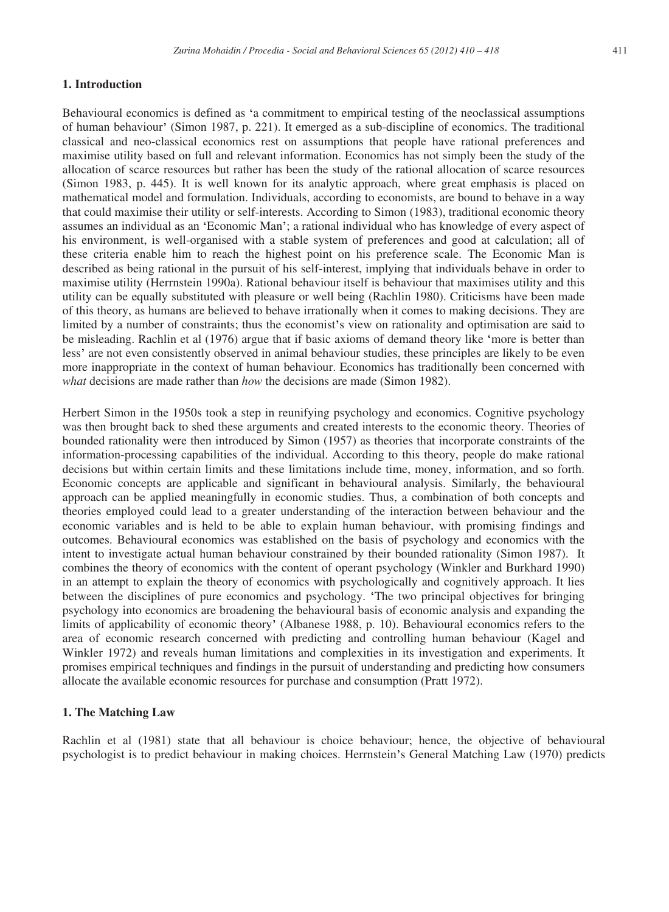### **1. Introduction**

Behavioural economics is defined as 'a commitment to empirical testing of the neoclassical assumptions of human behaviour (Simon 1987, p. 221). It emerged as a sub-discipline of economics. The traditional classical and neo-classical economics rest on assumptions that people have rational preferences and maximise utility based on full and relevant information. Economics has not simply been the study of the allocation of scarce resources but rather has been the study of the rational allocation of scarce resources (Simon 1983, p. 445). It is well known for its analytic approach, where great emphasis is placed on mathematical model and formulation. Individuals, according to economists, are bound to behave in a way that could maximise their utility or self-interests. According to Simon (1983), traditional economic theory assumes an individual as an 'Economic Man'; a rational individual who has knowledge of every aspect of his environment, is well-organised with a stable system of preferences and good at calculation; all of these criteria enable him to reach the highest point on his preference scale. The Economic Man is described as being rational in the pursuit of his self-interest, implying that individuals behave in order to maximise utility (Herrnstein 1990a). Rational behaviour itself is behaviour that maximises utility and this utility can be equally substituted with pleasure or well being (Rachlin 1980). Criticisms have been made of this theory, as humans are believed to behave irrationally when it comes to making decisions. They are limited by a number of constraints; thus the economist's view on rationality and optimisation are said to be misleading. Rachlin et al (1976) argue that if basic axioms of demand theory like 'more is better than less' are not even consistently observed in animal behaviour studies, these principles are likely to be even more inappropriate in the context of human behaviour. Economics has traditionally been concerned with *what* decisions are made rather than *how* the decisions are made (Simon 1982).

Herbert Simon in the 1950s took a step in reunifying psychology and economics. Cognitive psychology was then brought back to shed these arguments and created interests to the economic theory. Theories of bounded rationality were then introduced by Simon (1957) as theories that incorporate constraints of the information-processing capabilities of the individual. According to this theory, people do make rational decisions but within certain limits and these limitations include time, money, information, and so forth. Economic concepts are applicable and significant in behavioural analysis. Similarly, the behavioural approach can be applied meaningfully in economic studies. Thus, a combination of both concepts and theories employed could lead to a greater understanding of the interaction between behaviour and the economic variables and is held to be able to explain human behaviour, with promising findings and outcomes. Behavioural economics was established on the basis of psychology and economics with the intent to investigate actual human behaviour constrained by their bounded rationality (Simon 1987). It combines the theory of economics with the content of operant psychology (Winkler and Burkhard 1990) in an attempt to explain the theory of economics with psychologically and cognitively approach. It lies between the disciplines of pure economics and psychology. The two principal objectives for bringing psychology into economics are broadening the behavioural basis of economic analysis and expanding the limits of applicability of economic theory (Albanese 1988, p. 10). Behavioural economics refers to the area of economic research concerned with predicting and controlling human behaviour (Kagel and Winkler 1972) and reveals human limitations and complexities in its investigation and experiments. It promises empirical techniques and findings in the pursuit of understanding and predicting how consumers allocate the available economic resources for purchase and consumption (Pratt 1972).

### **1. The Matching Law**

Rachlin et al (1981) state that all behaviour is choice behaviour; hence, the objective of behavioural psychologist is to predict behaviour in making choices. Herrnstein s General Matching Law (1970) predicts